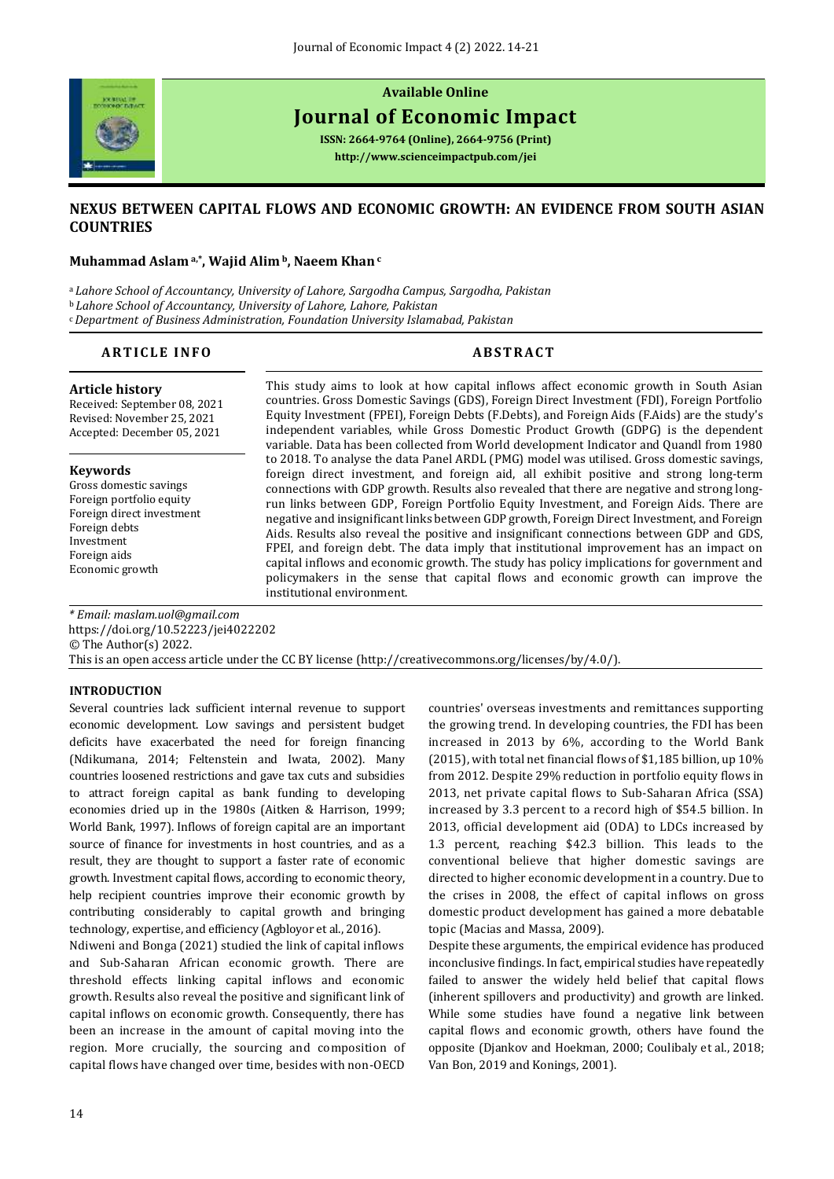

# **Available Online**

# **Journal of Economic Impact**

**ISSN: 2664-9764 (Online), 2664-9756 (Print) <http://www.scienceimpactpub.com/jei>**

# **NEXUS BETWEEN CAPITAL FLOWS AND ECONOMIC GROWTH: AN EVIDENCE FROM SOUTH ASIAN COUNTRIES**

#### **Muhammad Aslam a,\*, Wajid Alim <sup>b</sup>, Naeem Khan<sup>c</sup>**

<sup>a</sup>*Lahore School of Accountancy, University of Lahore, Sargodha Campus, Sargodha, Pakistan* <sup>b</sup>*Lahore School of Accountancy, University of Lahore, Lahore, Pakistan* <sup>c</sup>*Department of Business Administration, Foundation University Islamabad, Pakistan*

### **ARTICLE INFO ABSTRACT**

#### **Article history**

Received: September 08, 2021 Revised: November 25, 2021 Accepted: December 05, 2021

#### **Keywords**

Gross domestic savings Foreign portfolio equity Foreign direct investment Foreign debts Investment Foreign aids Economic growth

This study aims to look at how capital inflows affect economic growth in South Asian countries. Gross Domestic Savings (GDS), Foreign Direct Investment (FDI), Foreign Portfolio Equity Investment (FPEI), Foreign Debts (F.Debts), and Foreign Aids (F.Aids) are the study's independent variables, while Gross Domestic Product Growth (GDPG) is the dependent variable. Data has been collected from World development Indicator and Quandl from 1980 to 2018. To analyse the data Panel ARDL (PMG) model was utilised. Gross domestic savings, foreign direct investment, and foreign aid, all exhibit positive and strong long-term connections with GDP growth. Results also revealed that there are negative and strong longrun links between GDP, Foreign Portfolio Equity Investment, and Foreign Aids. There are negative and insignificant links between GDP growth, Foreign Direct Investment, and Foreign Aids. Results also reveal the positive and insignificant connections between GDP and GDS, FPEI, and foreign debt. The data imply that institutional improvement has an impact on capital inflows and economic growth. The study has policy implications for government and policymakers in the sense that capital flows and economic growth can improve the institutional environment.

*\* Email[: maslam.uol@gmail.com](mailto:maslam.uol@gmail.com)* <https://doi.org/10.52223/jei4022202> © The Author(s) 2022. This is an open access article under the CC BY license [\(http://creativecommons.org/licenses/by/4.0/\)](http://creativecommons.org/licenses/by/4.0/).

#### **INTRODUCTION**

Several countries lack sufficient internal revenue to support economic development. Low savings and persistent budget deficits have exacerbated the need for foreign financing (Ndikumana, 2014; Feltenstein and Iwata, 2002). Many countries loosened restrictions and gave tax cuts and subsidies to attract foreign capital as bank funding to developing economies dried up in the 1980s (Aitken & Harrison, 1999; World Bank, 1997). Inflows of foreign capital are an important source of finance for investments in host countries, and as a result, they are thought to support a faster rate of economic growth. Investment capital flows, according to economic theory, help recipient countries improve their economic growth by contributing considerably to capital growth and bringing technology, expertise, and efficiency (Agbloyor et al., 2016).

Ndiweni and Bonga (2021) studied the link of capital inflows and Sub-Saharan African economic growth. There are threshold effects linking capital inflows and economic growth. Results also reveal the positive and significant link of capital inflows on economic growth. Consequently, there has been an increase in the amount of capital moving into the region. More crucially, the sourcing and composition of capital flows have changed over time, besides with non-OECD

countries' overseas investments and remittances supporting the growing trend. In developing countries, the FDI has been increased in 2013 by 6%, according to the World Bank (2015), with total net financial flows of \$1,185 billion, up 10% from 2012. Despite 29% reduction in portfolio equity flows in 2013, net private capital flows to Sub-Saharan Africa (SSA) increased by 3.3 percent to a record high of \$54.5 billion. In 2013, official development aid (ODA) to LDCs increased by 1.3 percent, reaching \$42.3 billion. This leads to the conventional believe that higher domestic savings are directed to higher economic development in a country. Due to the crises in 2008, the effect of capital inflows on gross domestic product development has gained a more debatable topic (Macias and Massa, 2009).

Despite these arguments, the empirical evidence has produced inconclusive findings. In fact, empirical studies have repeatedly failed to answer the widely held belief that capital flows (inherent spillovers and productivity) and growth are linked. While some studies have found a negative link between capital flows and economic growth, others have found the opposite (Djankov and Hoekman, 2000; Coulibaly et al., 2018; Van Bon, 2019 and Konings, 2001).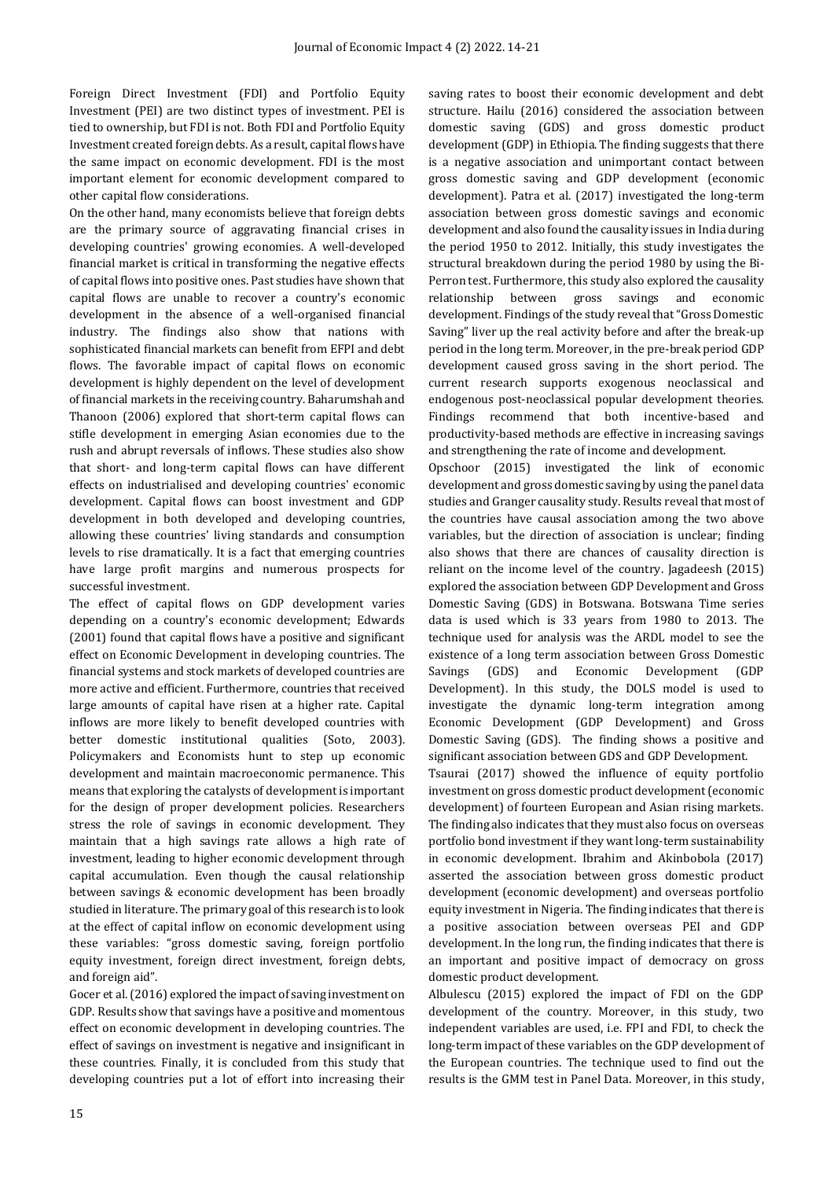Foreign Direct Investment (FDI) and Portfolio Equity Investment (PEI) are two distinct types of investment. PEI is tied to ownership, but FDI is not. Both FDI and Portfolio Equity Investment created foreign debts. As a result, capital flows have the same impact on economic development. FDI is the most important element for economic development compared to other capital flow considerations.

On the other hand, many economists believe that foreign debts are the primary source of aggravating financial crises in developing countries' growing economies. A well-developed financial market is critical in transforming the negative effects of capital flows into positive ones. Past studies have shown that capital flows are unable to recover a country's economic development in the absence of a well-organised financial industry. The findings also show that nations with sophisticated financial markets can benefit from EFPI and debt flows. The favorable impact of capital flows on economic development is highly dependent on the level of development of financial markets in the receiving country. Baharumshah and Thanoon (2006) explored that short-term capital flows can stifle development in emerging Asian economies due to the rush and abrupt reversals of inflows. These studies also show that short- and long-term capital flows can have different effects on industrialised and developing countries' economic development. Capital flows can boost investment and GDP development in both developed and developing countries, allowing these countries' living standards and consumption levels to rise dramatically. It is a fact that emerging countries have large profit margins and numerous prospects for successful investment.

The effect of capital flows on GDP development varies depending on a country's economic development; Edwards (2001) found that capital flows have a positive and significant effect on Economic Development in developing countries. The financial systems and stock markets of developed countries are more active and efficient. Furthermore, countries that received large amounts of capital have risen at a higher rate. Capital inflows are more likely to benefit developed countries with better domestic institutional qualities (Soto, 2003). Policymakers and Economists hunt to step up economic development and maintain macroeconomic permanence. This means that exploring the catalysts of development is important for the design of proper development policies. Researchers stress the role of savings in economic development. They maintain that a high savings rate allows a high rate of investment, leading to higher economic development through capital accumulation. Even though the causal relationship between savings & economic development has been broadly studied in literature. The primary goal of this research is to look at the effect of capital inflow on economic development using these variables: "gross domestic saving, foreign portfolio equity investment, foreign direct investment, foreign debts, and foreign aid".

Gocer et al. (2016) explored the impact of saving investment on GDP. Results show that savings have a positive and momentous effect on economic development in developing countries. The effect of savings on investment is negative and insignificant in these countries. Finally, it is concluded from this study that developing countries put a lot of effort into increasing their saving rates to boost their economic development and debt structure. Hailu (2016) considered the association between domestic saving (GDS) and gross domestic product development (GDP) in Ethiopia. The finding suggests that there is a negative association and unimportant contact between gross domestic saving and GDP development (economic development). Patra et al. (2017) investigated the long-term association between gross domestic savings and economic development and also found the causality issues in India during the period 1950 to 2012. Initially, this study investigates the structural breakdown during the period 1980 by using the Bi-Perron test. Furthermore, this study also explored the causality relationship between gross savings and economic development. Findings of the study reveal that "Gross Domestic Saving" liver up the real activity before and after the break-up period in the long term. Moreover, in the pre-break period GDP development caused gross saving in the short period. The current research supports exogenous neoclassical and endogenous post-neoclassical popular development theories. Findings recommend that both incentive-based and productivity-based methods are effective in increasing savings and strengthening the rate of income and development.

Opschoor (2015) investigated the link of economic development and gross domestic saving by using the panel data studies and Granger causality study. Results reveal that most of the countries have causal association among the two above variables, but the direction of association is unclear; finding also shows that there are chances of causality direction is reliant on the income level of the country. Jagadeesh (2015) explored the association between GDP Development and Gross Domestic Saving (GDS) in Botswana. Botswana Time series data is used which is 33 years from 1980 to 2013. The technique used for analysis was the ARDL model to see the existence of a long term association between Gross Domestic Savings (GDS) and Economic Development (GDP Development). In this study, the DOLS model is used to investigate the dynamic long-term integration among Economic Development (GDP Development) and Gross Domestic Saving (GDS). The finding shows a positive and significant association between GDS and GDP Development.

Tsaurai (2017) showed the influence of equity portfolio investment on gross domestic product development (economic development) of fourteen European and Asian rising markets. The finding also indicates that they must also focus on overseas portfolio bond investment if they want long-term sustainability in economic development. Ibrahim and Akinbobola (2017) asserted the association between gross domestic product development (economic development) and overseas portfolio equity investment in Nigeria. The finding indicates that there is a positive association between overseas PEI and GDP development. In the long run, the finding indicates that there is an important and positive impact of democracy on gross domestic product development.

Albulescu (2015) explored the impact of FDI on the GDP development of the country. Moreover, in this study, two independent variables are used, i.e. FPI and FDI, to check the long-term impact of these variables on the GDP development of the European countries. The technique used to find out the results is the GMM test in Panel Data. Moreover, in this study,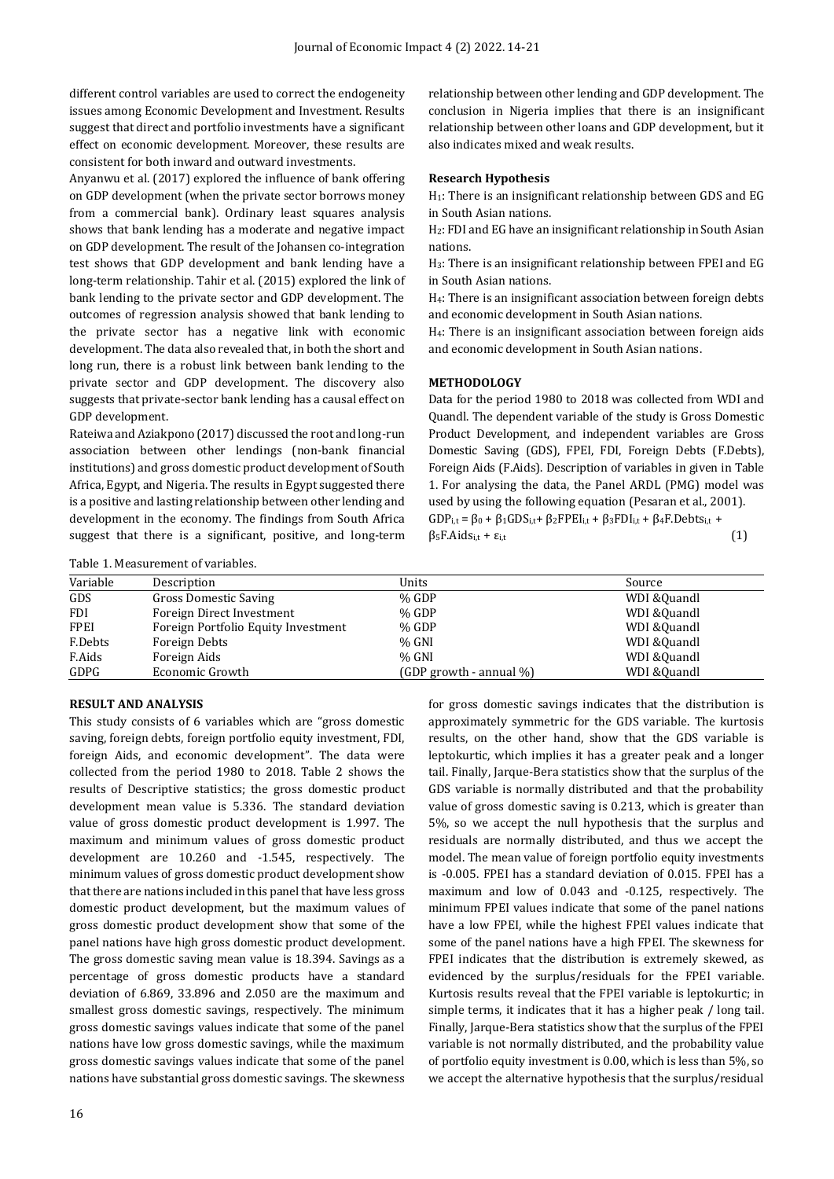different control variables are used to correct the endogeneity issues among Economic Development and Investment. Results suggest that direct and portfolio investments have a significant effect on economic development. Moreover, these results are consistent for both inward and outward investments.

Anyanwu et al. (2017) explored the influence of bank offering on GDP development (when the private sector borrows money from a commercial bank). Ordinary least squares analysis shows that bank lending has a moderate and negative impact on GDP development. The result of the Johansen co-integration test shows that GDP development and bank lending have a long-term relationship. Tahir et al. (2015) explored the link of bank lending to the private sector and GDP development. The outcomes of regression analysis showed that bank lending to the private sector has a negative link with economic development. The data also revealed that, in both the short and long run, there is a robust link between bank lending to the private sector and GDP development. The discovery also suggests that private-sector bank lending has a causal effect on GDP development.

Rateiwa and Aziakpono (2017) discussed the root and long-run association between other lendings (non-bank financial institutions) and gross domestic product development of South Africa, Egypt, and Nigeria. The results in Egypt suggested there is a positive and lasting relationship between other lending and development in the economy. The findings from South Africa suggest that there is a significant, positive, and long-term relationship between other lending and GDP development. The conclusion in Nigeria implies that there is an insignificant relationship between other loans and GDP development, but it also indicates mixed and weak results.

#### **Research Hypothesis**

H1: There is an insignificant relationship between GDS and EG in South Asian nations.

H2: FDI and EG have an insignificant relationship in South Asian nations.

H3: There is an insignificant relationship between FPEI and EG in South Asian nations.

H4: There is an insignificant association between foreign debts and economic development in South Asian nations.

H4: There is an insignificant association between foreign aids and economic development in South Asian nations.

#### **METHODOLOGY**

Data for the period 1980 to 2018 was collected from WDI and Quandl. The dependent variable of the study is Gross Domestic Product Development, and independent variables are Gross Domestic Saving (GDS), FPEI, FDI, Foreign Debts (F.Debts), Foreign Aids (F.Aids). Description of variables in given in Table 1. For analysing the data, the Panel ARDL (PMG) model was used by using the following equation (Pesaran et al., 2001). GDP<sub>i,t</sub> =  $\beta_0$  +  $\beta_1$ GDS<sub>i,t</sub> +  $\beta_2$ FPEI<sub>i,t</sub> +  $\beta_3$ FDI<sub>i,t</sub> +  $\beta_4$ F.Debts<sub>i,t</sub> +  $\beta_5$ F.Aids<sub>i,t</sub> +  $\varepsilon_{i,t}$  (1)

Table 1. Measurement of variables.

| Variable    | Description                         | Units                         | Source       |
|-------------|-------------------------------------|-------------------------------|--------------|
| GDS         | <b>Gross Domestic Saving</b>        | % GDP                         | WDI & Quandl |
| <b>FDI</b>  | Foreign Direct Investment           | $%$ GDP                       | WDI & Quandl |
| <b>FPEI</b> | Foreign Portfolio Equity Investment | % GDP                         | WDI & Quandl |
| F.Debts     | Foreign Debts                       | $%$ GNI                       | WDI &Quandl  |
| F.Aids      | Foreign Aids                        | $%$ GNI                       | WDI &Quandl  |
| GDPG        | Economic Growth                     | $(GDP$ growth - annual $\%$ ) | WDI & Quandl |

#### **RESULT AND ANALYSIS**

This study consists of 6 variables which are "gross domestic saving, foreign debts, foreign portfolio equity investment, FDI, foreign Aids, and economic development". The data were collected from the period 1980 to 2018. Table 2 shows the results of Descriptive statistics; the gross domestic product development mean value is 5.336. The standard deviation value of gross domestic product development is 1.997. The maximum and minimum values of gross domestic product development are 10.260 and -1.545, respectively. The minimum values of gross domestic product development show that there are nations included in this panel that have less gross domestic product development, but the maximum values of gross domestic product development show that some of the panel nations have high gross domestic product development. The gross domestic saving mean value is 18.394. Savings as a percentage of gross domestic products have a standard deviation of 6.869, 33.896 and 2.050 are the maximum and smallest gross domestic savings, respectively. The minimum gross domestic savings values indicate that some of the panel nations have low gross domestic savings, while the maximum gross domestic savings values indicate that some of the panel nations have substantial gross domestic savings. The skewness

16

for gross domestic savings indicates that the distribution is approximately symmetric for the GDS variable. The kurtosis results, on the other hand, show that the GDS variable is leptokurtic, which implies it has a greater peak and a longer tail. Finally, Jarque-Bera statistics show that the surplus of the GDS variable is normally distributed and that the probability value of gross domestic saving is 0.213, which is greater than 5%, so we accept the null hypothesis that the surplus and residuals are normally distributed, and thus we accept the model. The mean value of foreign portfolio equity investments is -0.005. FPEI has a standard deviation of 0.015. FPEI has a maximum and low of 0.043 and -0.125, respectively. The minimum FPEI values indicate that some of the panel nations have a low FPEI, while the highest FPEI values indicate that some of the panel nations have a high FPEI. The skewness for FPEI indicates that the distribution is extremely skewed, as evidenced by the surplus/residuals for the FPEI variable. Kurtosis results reveal that the FPEI variable is leptokurtic; in simple terms, it indicates that it has a higher peak / long tail. Finally, Jarque-Bera statistics show that the surplus of the FPEI variable is not normally distributed, and the probability value of portfolio equity investment is 0.00, which is less than 5%, so we accept the alternative hypothesis that the surplus/residual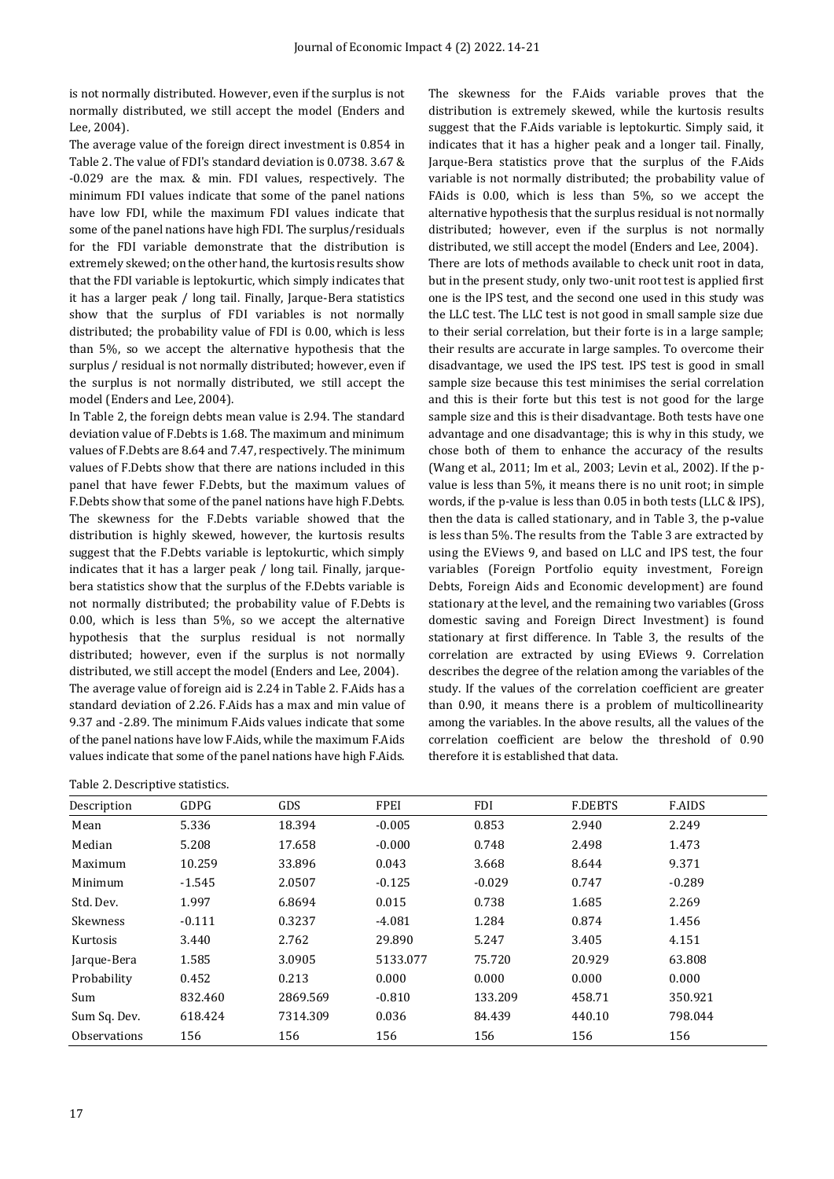is not normally distributed. However, even if the surplus is not normally distributed, we still accept the model (Enders and Lee, 2004).

The average value of the foreign direct investment is 0.854 in Table 2. The value of FDI's standard deviation is 0.0738. 3.67 & -0.029 are the max. & min. FDI values, respectively. The minimum FDI values indicate that some of the panel nations have low FDI, while the maximum FDI values indicate that some of the panel nations have high FDI. The surplus/residuals for the FDI variable demonstrate that the distribution is extremely skewed; on the other hand, the kurtosis results show that the FDI variable is leptokurtic, which simply indicates that it has a larger peak / long tail. Finally, Jarque-Bera statistics show that the surplus of FDI variables is not normally distributed; the probability value of FDI is 0.00, which is less than 5%, so we accept the alternative hypothesis that the surplus / residual is not normally distributed; however, even if the surplus is not normally distributed, we still accept the model (Enders and Lee, 2004).

In Table 2, the foreign debts mean value is 2.94. The standard deviation value of F.Debts is 1.68. The maximum and minimum values of F.Debts are 8.64 and 7.47, respectively. The minimum values of F.Debts show that there are nations included in this panel that have fewer F.Debts, but the maximum values of F.Debts show that some of the panel nations have high F.Debts. The skewness for the F.Debts variable showed that the distribution is highly skewed, however, the kurtosis results suggest that the F.Debts variable is leptokurtic, which simply indicates that it has a larger peak / long tail. Finally, jarquebera statistics show that the surplus of the F.Debts variable is not normally distributed; the probability value of F.Debts is 0.00, which is less than 5%, so we accept the alternative hypothesis that the surplus residual is not normally distributed; however, even if the surplus is not normally distributed, we still accept the model (Enders and Lee, 2004). The average value of foreign aid is 2.24 in Table 2. F.Aids has a standard deviation of 2.26. F.Aids has a max and min value of 9.37 and -2.89. The minimum F.Aids values indicate that some of the panel nations have low F.Aids, while the maximum F.Aids values indicate that some of the panel nations have high F.Aids.

|  | Table 2. Descriptive statistics. |  |
|--|----------------------------------|--|
|--|----------------------------------|--|

The skewness for the F.Aids variable proves that the distribution is extremely skewed, while the kurtosis results suggest that the F.Aids variable is leptokurtic. Simply said, it indicates that it has a higher peak and a longer tail. Finally, Jarque-Bera statistics prove that the surplus of the F.Aids variable is not normally distributed; the probability value of FAids is 0.00, which is less than 5%, so we accept the alternative hypothesis that the surplus residual is not normally distributed; however, even if the surplus is not normally distributed, we still accept the model (Enders and Lee, 2004). There are lots of methods available to check unit root in data, but in the present study, only two-unit root test is applied first one is the IPS test, and the second one used in this study was the LLC test. The LLC test is not good in small sample size due to their serial correlation, but their forte is in a large sample; their results are accurate in large samples. To overcome their disadvantage, we used the IPS test. IPS test is good in small sample size because this test minimises the serial correlation and this is their forte but this test is not good for the large sample size and this is their disadvantage. Both tests have one advantage and one disadvantage; this is why in this study, we chose both of them to enhance the accuracy of the results (Wang et al., 2011; Im et al., 2003; Levin et al., 2002). If the pvalue is less than 5%, it means there is no unit root; in simple words, if the p-value is less than 0.05 in both tests (LLC & IPS), then the data is called stationary, and in Table 3, the p**-**value is less than 5%. The results from the Table 3 are extracted by using the EViews 9, and based on LLC and IPS test, the four variables (Foreign Portfolio equity investment, Foreign Debts, Foreign Aids and Economic development) are found stationary at the level, and the remaining two variables (Gross domestic saving and Foreign Direct Investment) is found stationary at first difference. In Table 3, the results of the correlation are extracted by using EViews 9. Correlation describes the degree of the relation among the variables of the study. If the values of the correlation coefficient are greater than 0.90, it means there is a problem of multicollinearity among the variables. In the above results, all the values of the correlation coefficient are below the threshold of 0.90 therefore it is established that data.

| Description         | GDPG     | <b>GDS</b> | <b>FPEI</b> | <b>FDI</b> | <b>F.DEBTS</b> | <b>F.AIDS</b> |  |
|---------------------|----------|------------|-------------|------------|----------------|---------------|--|
| Mean                | 5.336    | 18.394     | $-0.005$    | 0.853      | 2.940          | 2.249         |  |
| Median              | 5.208    | 17.658     | $-0.000$    | 0.748      | 2.498          | 1.473         |  |
| Maximum             | 10.259   | 33.896     | 0.043       | 3.668      | 8.644          | 9.371         |  |
| Minimum             | $-1.545$ | 2.0507     | $-0.125$    | $-0.029$   | 0.747          | $-0.289$      |  |
| Std. Dev.           | 1.997    | 6.8694     | 0.015       | 0.738      | 1.685          | 2.269         |  |
| Skewness            | $-0.111$ | 0.3237     | $-4.081$    | 1.284      | 0.874          | 1.456         |  |
| Kurtosis            | 3.440    | 2.762      | 29.890      | 5.247      | 3.405          | 4.151         |  |
| Jarque-Bera         | 1.585    | 3.0905     | 5133.077    | 75.720     | 20.929         | 63.808        |  |
| Probability         | 0.452    | 0.213      | 0.000       | 0.000      | 0.000          | 0.000         |  |
| Sum                 | 832.460  | 2869.569   | $-0.810$    | 133.209    | 458.71         | 350.921       |  |
| Sum Sq. Dev.        | 618.424  | 7314.309   | 0.036       | 84.439     | 440.10         | 798.044       |  |
| <b>Observations</b> | 156      | 156        | 156         | 156        | 156            | 156           |  |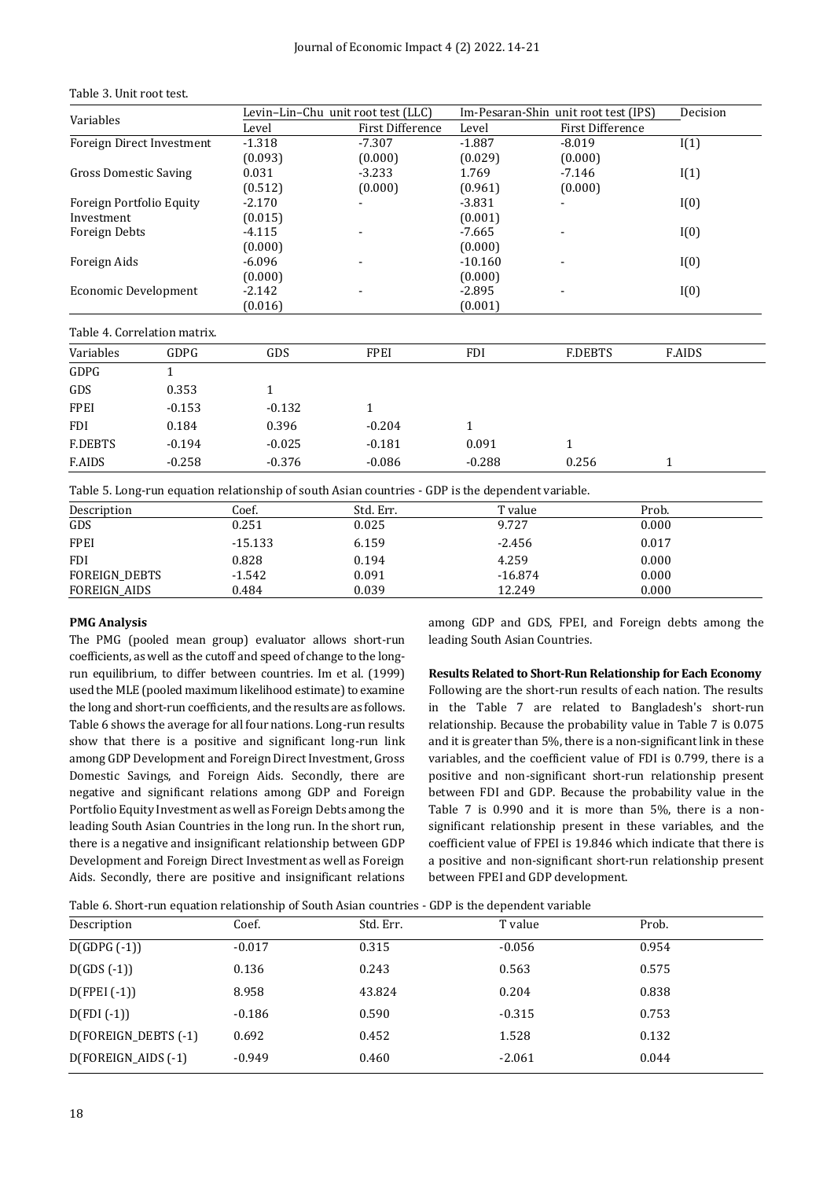Table 3. Unit root test.

|                              |                              |          | Levin-Lin-Chu unit root test (LLC) |              | Im-Pesaran-Shin unit root test (IPS) | Decision      |
|------------------------------|------------------------------|----------|------------------------------------|--------------|--------------------------------------|---------------|
| Variables                    |                              | Level    | First Difference                   | Level        | <b>First Difference</b>              |               |
|                              | Foreign Direct Investment    | $-1.318$ | $-7.307$                           | $-1.887$     | $-8.019$                             | I(1)          |
|                              |                              | (0.093)  | (0.000)                            | (0.029)      | (0.000)                              |               |
| <b>Gross Domestic Saving</b> |                              | 0.031    | $-3.233$                           | 1.769        | $-7.146$                             | I(1)          |
|                              |                              | (0.512)  | (0.000)                            | (0.961)      | (0.000)                              |               |
| Foreign Portfolio Equity     |                              | $-2.170$ |                                    | $-3.831$     |                                      | I(0)          |
| Investment                   |                              | (0.015)  |                                    | (0.001)      |                                      |               |
| Foreign Debts                |                              | $-4.115$ |                                    | $-7.665$     |                                      | I(0)          |
|                              |                              | (0.000)  |                                    | (0.000)      |                                      |               |
| Foreign Aids                 |                              | $-6.096$ |                                    | $-10.160$    |                                      | I(0)          |
|                              |                              | (0.000)  |                                    | (0.000)      |                                      |               |
| <b>Economic Development</b>  |                              | $-2.142$ |                                    | $-2.895$     |                                      | I(0)          |
|                              |                              | (0.016)  |                                    | (0.001)      |                                      |               |
|                              | Table 4. Correlation matrix. |          |                                    |              |                                      |               |
| Variables                    | GDPG                         | GDS      | FPEI                               | <b>FDI</b>   | <b>F.DEBTS</b>                       | <b>F.AIDS</b> |
| GDPG                         | 1                            |          |                                    |              |                                      |               |
| GDS                          | 0.353                        | 1        |                                    |              |                                      |               |
| <b>FPEI</b>                  | $-0.153$                     | $-0.132$ | $\mathbf{1}$                       |              |                                      |               |
| <b>FDI</b>                   | 0.184                        | 0.396    | $-0.204$                           | $\mathbf{1}$ |                                      |               |
| <b>F.DEBTS</b>               | $-0.194$                     | $-0.025$ | $-0.181$                           | 0.091        | 1                                    |               |
| <b>F.AIDS</b>                | $-0.258$                     | $-0.376$ | $-0.086$                           | $-0.288$     | 0.256                                | 1             |

Table 5. Long-run equation relationship of south Asian countries - GDP is the dependent variable.

| Description          | Coef.     | Std. Err. | T value   | Prob. |
|----------------------|-----------|-----------|-----------|-------|
| GDS                  | 0.251     | 0.025     | 9.727     | 0.000 |
| <b>FPEI</b>          | $-15.133$ | 6.159     | $-2.456$  | 0.017 |
| <b>FDI</b>           | 0.828     | 0.194     | 4.259     | 0.000 |
| <b>FOREIGN DEBTS</b> | $-1.542$  | 0.091     | $-16.874$ | 0.000 |
| FOREIGN AIDS         | 0.484     | 0.039     | 12.249    | 0.000 |
|                      |           |           |           |       |

#### **PMG Analysis**

The PMG (pooled mean group) evaluator allows short-run coefficients, as well as the cutoff and speed of change to the longrun equilibrium, to differ between countries. Im et al. (1999) used the MLE (pooled maximum likelihood estimate) to examine the long and short-run coefficients, and the results are as follows. Table 6 shows the average for all four nations. Long-run results show that there is a positive and significant long-run link among GDP Development and Foreign Direct Investment, Gross Domestic Savings, and Foreign Aids. Secondly, there are negative and significant relations among GDP and Foreign Portfolio Equity Investment as well as Foreign Debts among the leading South Asian Countries in the long run. In the short run, there is a negative and insignificant relationship between GDP Development and Foreign Direct Investment as well as Foreign Aids. Secondly, there are positive and insignificant relations among GDP and GDS, FPEI, and Foreign debts among the leading South Asian Countries.

**Results Related to Short-Run Relationship for Each Economy** Following are the short-run results of each nation. The results in the Table 7 are related to Bangladesh's short-run relationship. Because the probability value in Table 7 is 0.075 and it is greater than 5%, there is a non-significant link in these variables, and the coefficient value of FDI is 0.799, there is a positive and non-significant short-run relationship present between FDI and GDP. Because the probability value in the Table 7 is 0.990 and it is more than 5%, there is a nonsignificant relationship present in these variables, and the coefficient value of FPEI is 19.846 which indicate that there is a positive and non-significant short-run relationship present between FPEI and GDP development.

Table 6. Short-run equation relationship of South Asian countries - GDP is the dependent variable

| Description          | Coef.    | Std. Err. | T value  | Prob. |  |
|----------------------|----------|-----------|----------|-------|--|
| $D(GDPG(-1))$        | $-0.017$ | 0.315     | $-0.056$ | 0.954 |  |
| $D(GDS(-1))$         | 0.136    | 0.243     | 0.563    | 0.575 |  |
| $D(FPEI (-1))$       | 8.958    | 43.824    | 0.204    | 0.838 |  |
| $D(FDI(-1))$         | $-0.186$ | 0.590     | $-0.315$ | 0.753 |  |
| D(FOREIGN_DEBTS (-1) | 0.692    | 0.452     | 1.528    | 0.132 |  |
| D(FOREIGN_AIDS (-1)  | $-0.949$ | 0.460     | $-2.061$ | 0.044 |  |
|                      |          |           |          |       |  |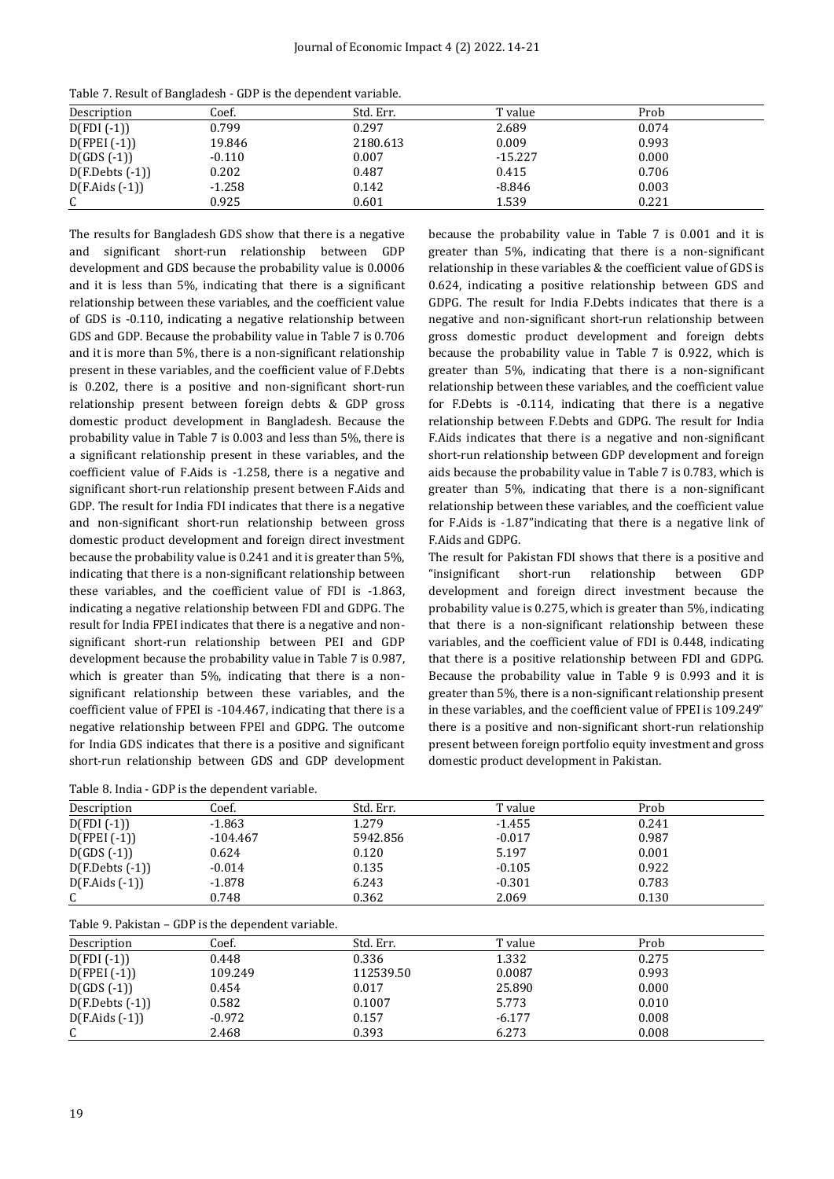| Description       | Coef.    | Std. Err. | T value   | Prob  |  |
|-------------------|----------|-----------|-----------|-------|--|
| D(FDI (-1))       | 0.799    | 0.297     | 2.689     | 0.074 |  |
| D(FPEI (-1))      | 19.846   | 2180.613  | 0.009     | 0.993 |  |
| $D(GDS(-1))$      | $-0.110$ | 0.007     | $-15.227$ | 0.000 |  |
| $D(F.Debts (-1))$ | 0.202    | 0.487     | 0.415     | 0.706 |  |
| D(F.Aids (-1))    | $-1.258$ | 0.142     | $-8.846$  | 0.003 |  |
| C                 | 0.925    | 0.601     | 1.539     | 0.221 |  |

Table 7. Result of Bangladesh - GDP is the dependent variable.

The results for Bangladesh GDS show that there is a negative and significant short-run relationship between GDP development and GDS because the probability value is 0.0006 and it is less than 5%, indicating that there is a significant relationship between these variables, and the coefficient value of GDS is -0.110, indicating a negative relationship between GDS and GDP. Because the probability value in Table 7 is 0.706 and it is more than 5%, there is a non-significant relationship present in these variables, and the coefficient value of F.Debts is 0.202, there is a positive and non-significant short-run relationship present between foreign debts & GDP gross domestic product development in Bangladesh. Because the probability value in Table 7 is 0.003 and less than 5%, there is a significant relationship present in these variables, and the coefficient value of F.Aids is -1.258, there is a negative and significant short-run relationship present between F.Aids and GDP. The result for India FDI indicates that there is a negative and non-significant short-run relationship between gross domestic product development and foreign direct investment because the probability value is 0.241 and it is greater than 5%, indicating that there is a non-significant relationship between these variables, and the coefficient value of FDI is -1.863, indicating a negative relationship between FDI and GDPG. The result for India FPEI indicates that there is a negative and nonsignificant short-run relationship between PEI and GDP development because the probability value in Table 7 is 0.987, which is greater than 5%, indicating that there is a nonsignificant relationship between these variables, and the coefficient value of FPEI is -104.467, indicating that there is a negative relationship between FPEI and GDPG. The outcome for India GDS indicates that there is a positive and significant short-run relationship between GDS and GDP development

| Table 8. India - GDP is the dependent variable. |  |  |  |  |
|-------------------------------------------------|--|--|--|--|
|-------------------------------------------------|--|--|--|--|

because the probability value in Table 7 is 0.001 and it is greater than 5%, indicating that there is a non-significant relationship in these variables & the coefficient value of GDS is 0.624, indicating a positive relationship between GDS and GDPG. The result for India F.Debts indicates that there is a negative and non-significant short-run relationship between gross domestic product development and foreign debts because the probability value in Table 7 is 0.922, which is greater than 5%, indicating that there is a non-significant relationship between these variables, and the coefficient value for F.Debts is -0.114, indicating that there is a negative relationship between F.Debts and GDPG. The result for India F.Aids indicates that there is a negative and non-significant short-run relationship between GDP development and foreign aids because the probability value in Table 7 is 0.783, which is greater than 5%, indicating that there is a non-significant relationship between these variables, and the coefficient value for F.Aids is -1.87"indicating that there is a negative link of F.Aids and GDPG.

The result for Pakistan FDI shows that there is a positive and "insignificant short-run relationship between GDP development and foreign direct investment because the probability value is 0.275, which is greater than 5%, indicating that there is a non-significant relationship between these variables, and the coefficient value of FDI is 0.448, indicating that there is a positive relationship between FDI and GDPG. Because the probability value in Table 9 is 0.993 and it is greater than 5%, there is a non-significant relationship present in these variables, and the coefficient value of FPEI is 109.249" there is a positive and non-significant short-run relationship present between foreign portfolio equity investment and gross domestic product development in Pakistan.

| Description       | Coef.      | Std. Err. | T value  | Prob  |  |
|-------------------|------------|-----------|----------|-------|--|
| $D(FDI(-1))$      | $-1.863$   | 1.279     | $-1.455$ | 0.241 |  |
| $D(FPEI (-1))$    | $-104.467$ | 5942.856  | $-0.017$ | 0.987 |  |
| $D(GDS(-1))$      | 0.624      | 0.120     | 5.197    | 0.001 |  |
| $D(F.Debts (-1))$ | $-0.014$   | 0.135     | $-0.105$ | 0.922 |  |
| $D(F.Aids(-1))$   | $-1.878$   | 6.243     | $-0.301$ | 0.783 |  |
| C<br>U            | 0.748      | 0.362     | 2.069    | 0.130 |  |

| Table 9. Pakistan – GDP is the dependent variable. |
|----------------------------------------------------|
|----------------------------------------------------|

| Description       | Coef.    | Std. Err. | T value  | Prob  |
|-------------------|----------|-----------|----------|-------|
| $D(FDI(-1))$      | 0.448    | 0.336     | 1.332    | 0.275 |
| $D(FPEI (-1))$    | 109.249  | 112539.50 | 0.0087   | 0.993 |
| $D(GDS(-1))$      | 0.454    | 0.017     | 25.890   | 0.000 |
| $D(F.Debts (-1))$ | 0.582    | 0.1007    | 5.773    | 0.010 |
| $D(F.Aids(-1))$   | $-0.972$ | 0.157     | $-6.177$ | 0.008 |
| C<br>U            | 2.468    | 0.393     | 6.273    | 0.008 |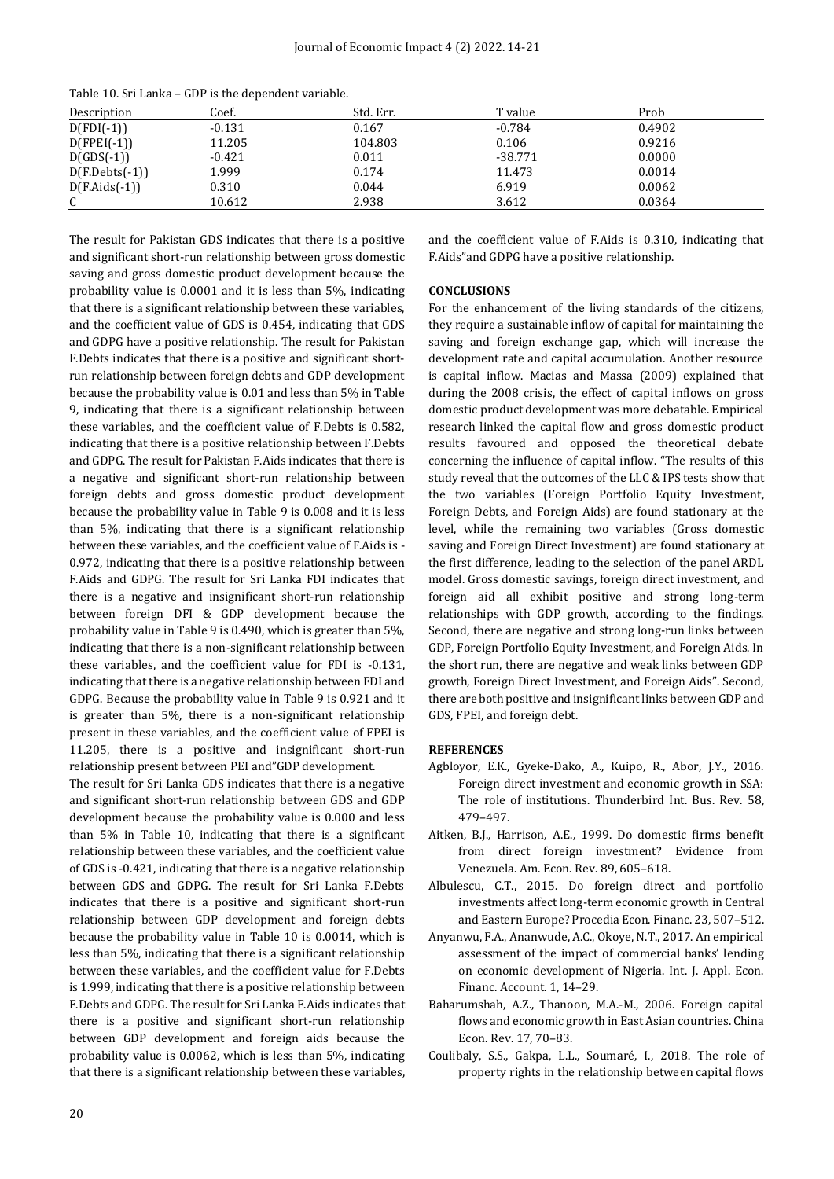| Table 10. Sri Lanka – GDP is the dependent variable. |  |  |
|------------------------------------------------------|--|--|
|------------------------------------------------------|--|--|

| Description      | Coef.    | Std. Err. | T value   | Prob   |
|------------------|----------|-----------|-----------|--------|
| $D(FDI(-1))$     | $-0.131$ | 0.167     | $-0.784$  | 0.4902 |
| $D(FPEI(-1))$    | 11.205   | 104.803   | 0.106     | 0.9216 |
| $D(GDS(-1))$     | $-0.421$ | 0.011     | $-38.771$ | 0.0000 |
| $D(F.Debts(-1))$ | 1.999    | 0.174     | 11.473    | 0.0014 |
| $D(F.Aids(-1))$  | 0.310    | 0.044     | 6.919     | 0.0062 |
| ◠                | 10.612   | 2.938     | 3.612     | 0.0364 |

The result for Pakistan GDS indicates that there is a positive and significant short-run relationship between gross domestic saving and gross domestic product development because the probability value is 0.0001 and it is less than 5%, indicating that there is a significant relationship between these variables, and the coefficient value of GDS is 0.454, indicating that GDS and GDPG have a positive relationship. The result for Pakistan F.Debts indicates that there is a positive and significant shortrun relationship between foreign debts and GDP development because the probability value is 0.01 and less than 5% in Table 9, indicating that there is a significant relationship between these variables, and the coefficient value of F.Debts is 0.582, indicating that there is a positive relationship between F.Debts and GDPG. The result for Pakistan F.Aids indicates that there is a negative and significant short-run relationship between foreign debts and gross domestic product development because the probability value in Table 9 is 0.008 and it is less than 5%, indicating that there is a significant relationship between these variables, and the coefficient value of F.Aids is - 0.972, indicating that there is a positive relationship between F.Aids and GDPG. The result for Sri Lanka FDI indicates that there is a negative and insignificant short-run relationship between foreign DFI & GDP development because the probability value in Table 9 is 0.490, which is greater than 5%, indicating that there is a non-significant relationship between these variables, and the coefficient value for FDI is -0.131, indicating that there is a negative relationship between FDI and GDPG. Because the probability value in Table 9 is 0.921 and it is greater than 5%, there is a non-significant relationship present in these variables, and the coefficient value of FPEI is 11.205, there is a positive and insignificant short-run relationship present between PEI and"GDP development.

The result for Sri Lanka GDS indicates that there is a negative and significant short-run relationship between GDS and GDP development because the probability value is 0.000 and less than 5% in Table 10, indicating that there is a significant relationship between these variables, and the coefficient value of GDS is -0.421, indicating that there is a negative relationship between GDS and GDPG. The result for Sri Lanka F.Debts indicates that there is a positive and significant short-run relationship between GDP development and foreign debts because the probability value in Table 10 is 0.0014, which is less than 5%, indicating that there is a significant relationship between these variables, and the coefficient value for F.Debts is 1.999, indicating that there is a positive relationship between F.Debts and GDPG. The result for Sri Lanka F.Aids indicates that there is a positive and significant short-run relationship between GDP development and foreign aids because the probability value is 0.0062, which is less than 5%, indicating that there is a significant relationship between these variables, and the coefficient value of F.Aids is 0.310, indicating that F.Aids"and GDPG have a positive relationship.

#### **CONCLUSIONS**

For the enhancement of the living standards of the citizens, they require a sustainable inflow of capital for maintaining the saving and foreign exchange gap, which will increase the development rate and capital accumulation. Another resource is capital inflow. Macias and Massa (2009) explained that during the 2008 crisis, the effect of capital inflows on gross domestic product development was more debatable. Empirical research linked the capital flow and gross domestic product results favoured and opposed the theoretical debate concerning the influence of capital inflow. "The results of this study reveal that the outcomes of the LLC & IPS tests show that the two variables (Foreign Portfolio Equity Investment, Foreign Debts, and Foreign Aids) are found stationary at the level, while the remaining two variables (Gross domestic saving and Foreign Direct Investment) are found stationary at the first difference, leading to the selection of the panel ARDL model. Gross domestic savings, foreign direct investment, and foreign aid all exhibit positive and strong long-term relationships with GDP growth, according to the findings. Second, there are negative and strong long-run links between GDP, Foreign Portfolio Equity Investment, and Foreign Aids. In the short run, there are negative and weak links between GDP growth, Foreign Direct Investment, and Foreign Aids". Second, there are both positive and insignificant links between GDP and GDS, FPEI, and foreign debt.

#### **REFERENCES**

- Agbloyor, E.K., Gyeke‐Dako, A., Kuipo, R., Abor, J.Y., 2016. Foreign direct investment and economic growth in SSA: The role of institutions. Thunderbird Int. Bus. Rev. 58, 479–497.
- Aitken, B.J., Harrison, A.E., 1999. Do domestic firms benefit from direct foreign investment? Evidence from Venezuela. Am. Econ. Rev. 89, 605–618.
- Albulescu, C.T., 2015. Do foreign direct and portfolio investments affect long-term economic growth in Central and Eastern Europe? Procedia Econ. Financ. 23, 507–512.
- Anyanwu, F.A., Ananwude, A.C., Okoye, N.T., 2017. An empirical assessment of the impact of commercial banks' lending on economic development of Nigeria. Int. J. Appl. Econ. Financ. Account. 1, 14–29.
- Baharumshah, A.Z., Thanoon, M.A.-M., 2006. Foreign capital flows and economic growth in East Asian countries. China Econ. Rev. 17, 70–83.
- Coulibaly, S.S., Gakpa, L.L., Soumaré, I., 2018. The role of property rights in the relationship between capital flows